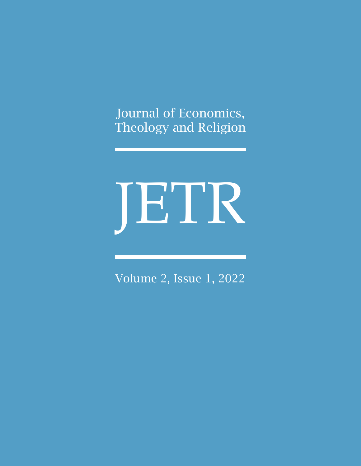Journal of Economics, Theology and Religion

# JETR

Volume 2, Issue 1, 2022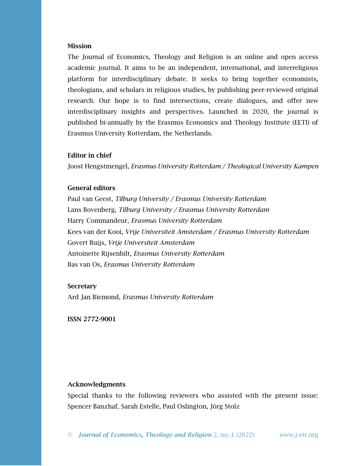#### Mission

The Journal of Economics, Theology and Religion is an online and open access academic journal. It aims to be an independent, international, and interreligious platform for interdisciplinary debate. It seeks to bring together economists, theologians, and scholars in religious studies, by publishing peer-reviewed original research. Our hope is to find intersections, create dialogues, and offer new interdisciplinary insights and perspectives. Launched in 2020, the journal is published bi-annually by the Erasmus Economics and Theology Institute (EETI) of Erasmus University Rotterdam, the Netherlands.

# Editor in chief

Joost Hengstmengel, *Erasmus University Rotterdam / Theological University Kampen*

### General editors

Paul van Geest, *Tilburg University / Erasmus University Rotterdam* Lans Bovenberg, *Tilburg University / Erasmus University Rotterdam* Harry Commandeur, *Erasmus University Rotterdam* Kees van der Kooi, *Vrije Universiteit Amsterdam / Erasmus University Rotterdam* Govert Buijs, *Vrije Universiteit Amsterdam* Antoinette Rijsenbilt, *Erasmus University Rotterdam* Bas van Os, *Erasmus University Rotterdam*

#### **Secretary**

Ard Jan Biemond, *Erasmus University Rotterdam*

ISSN 2772-9001

#### Acknowledgments

Special thanks to the following reviewers who assisted with the present issue: Spencer Banzhaf, Sarah Estelle, Paul Oslington, Jörg Stolz